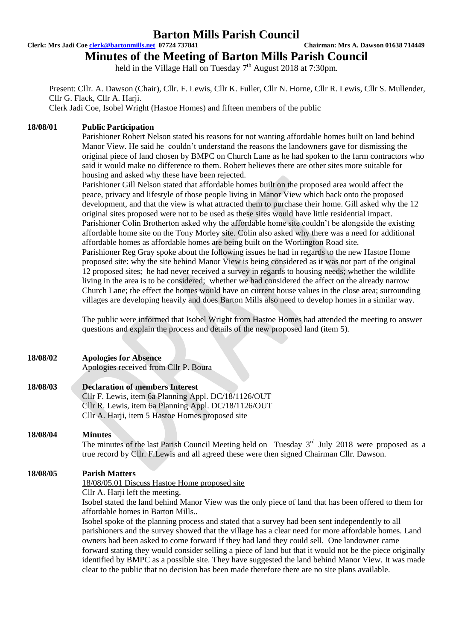### **Barton Mills Parish Council**

#### **Clerk: Mrs Jadi Coe clerk@bartonmills.net 07724 737841 Chairman: Mrs A. Dawson 01638 714449**

# **Minutes of the Meeting of Barton Mills Parish Council**

held in the Village Hall on Tuesday  $7<sup>th</sup>$  August 2018 at 7:30pm.

Present: Cllr. A. Dawson (Chair), Cllr. F. Lewis, Cllr K. Fuller, Cllr N. Horne, Cllr R. Lewis, Cllr S. Mullender, Cllr G. Flack, Cllr A. Harji.

Clerk Jadi Coe, Isobel Wright (Hastoe Homes) and fifteen members of the public

### **18/08/01 Public Participation**

Parishioner Robert Nelson stated his reasons for not wanting affordable homes built on land behind Manor View. He said he couldn't understand the reasons the landowners gave for dismissing the original piece of land chosen by BMPC on Church Lane as he had spoken to the farm contractors who said it would make no difference to them. Robert believes there are other sites more suitable for housing and asked why these have been rejected.

Parishioner Gill Nelson stated that affordable homes built on the proposed area would affect the peace, privacy and lifestyle of those people living in Manor View which back onto the proposed development, and that the view is what attracted them to purchase their home. Gill asked why the 12 original sites proposed were not to be used as these sites would have little residential impact. Parishioner Colin Brotherton asked why the affordable home site couldn't be alongside the existing affordable home site on the Tony Morley site. Colin also asked why there was a need for additional affordable homes as affordable homes are being built on the Worlington Road site. Parishioner Reg Gray spoke about the following issues he had in regards to the new Hastoe Home proposed site: why the site behind Manor View is being considered as it was not part of the original 12 proposed sites; he had never received a survey in regards to housing needs; whether the wildlife living in the area is to be considered; whether we had considered the affect on the already narrow Church Lane; the effect the homes would have on current house values in the close area; surrounding villages are developing heavily and does Barton Mills also need to develop homes in a similar way.

The public were informed that Isobel Wright from Hastoe Homes had attended the meeting to answer questions and explain the process and details of the new proposed land (item 5).

| 18/08/02 | <b>Apologies for Absence</b><br>Apologies received from Cllr P. Boura                                     |
|----------|-----------------------------------------------------------------------------------------------------------|
| 18/08/03 | <b>Declaration of members Interest</b>                                                                    |
|          | Cllr F. Lewis, item 6a Planning Appl. DC/18/1126/OUT                                                      |
|          | Cllr R. Lewis, item 6a Planning Appl. DC/18/1126/OUT                                                      |
|          | Cllr A. Harji, item 5 Hastoe Homes proposed site                                                          |
| 18/08/04 | <b>Minutes</b>                                                                                            |
|          | The minutes of the last Parish Council Meeting held on Tuesday $3rd$ July 2018 were proposed as a         |
|          | true record by Cllr. F.Lewis and all agreed these were then signed Chairman Cllr. Dawson.                 |
| 18/08/05 | <b>Parish Matters</b>                                                                                     |
|          | 18/08/05.01 Discuss Hastoe Home proposed site                                                             |
|          | Cllr A. Harji left the meeting.                                                                           |
|          | Isobel stated the land behind Manor View was the only piece of land that has been offered to them for     |
|          | affordable homes in Barton Mills                                                                          |
|          | Isobel spoke of the planning process and stated that a survey had been sent independently to all          |
|          | parishioners and the survey showed that the village has a clear need for more affordable homes. Land      |
|          | owners had been asked to come forward if they had land they could sell. One landowner came                |
|          | forward stating they would consider selling a piece of land but that it would not be the piece originally |
|          | identified by BMPC as a possible site. They have suggested the land behind Manor View. It was made        |
|          | clear to the public that no decision has been made therefore there are no site plans available.           |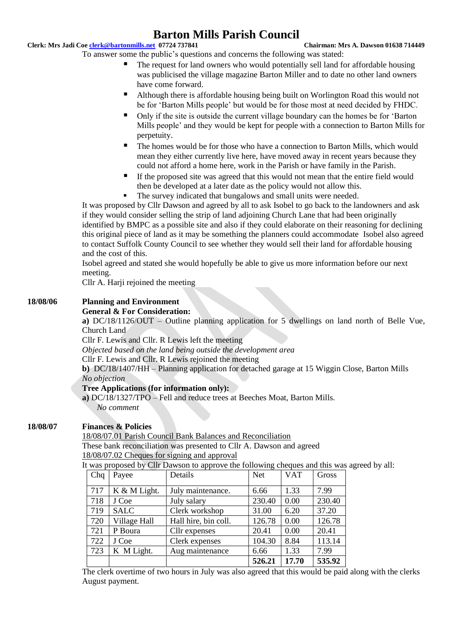## **Barton Mills Parish Council**

#### **Clerk: Mrs Jadi Coe clerk@bartonmills.net 07724 737841 Chairman: Mrs A. Dawson 01638 714449**

- To answer some the public's questions and concerns the following was stated:
	- The request for land owners who would potentially sell land for affordable housing was publicised the village magazine Barton Miller and to date no other land owners have come forward.
	- Although there is affordable housing being built on Worlington Road this would not be for 'Barton Mills people' but would be for those most at need decided by FHDC.
	- Only if the site is outside the current village boundary can the homes be for 'Barton Mills people' and they would be kept for people with a connection to Barton Mills for perpetuity.
	- The homes would be for those who have a connection to Barton Mills, which would mean they either currently live here, have moved away in recent years because they could not afford a home here, work in the Parish or have family in the Parish.
	- If the proposed site was agreed that this would not mean that the entire field would then be developed at a later date as the policy would not allow this.
	- The survey indicated that bungalows and small units were needed.

It was proposed by Cllr Dawson and agreed by all to ask Isobel to go back to the landowners and ask if they would consider selling the strip of land adjoining Church Lane that had been originally identified by BMPC as a possible site and also if they could elaborate on their reasoning for declining this original piece of land as it may be something the planners could accommodate Isobel also agreed to contact Suffolk County Council to see whether they would sell their land for affordable housing and the cost of this.

Isobel agreed and stated she would hopefully be able to give us more information before our next meeting.

Cllr A. Harji rejoined the meeting

### **18/08/06 Planning and Environment**

#### **General & For Consideration:**

**a)** DC/18/1126/OUT – Outline planning application for 5 dwellings on land north of Belle Vue, Church Land

Cllr F. Lewis and Cllr. R Lewis left the meeting

*Objected based on the land being outside the development area*

Cllr F. Lewis and Cllr. R Lewis rejoined the meeting

**b)** DC/18/1407/HH – Planning application for detached garage at 15 Wiggin Close, Barton Mills *No objection*

#### **Tree Applications (for information only):**

**a)** DC/18/1327/TPO – Fell and reduce trees at Beeches Moat, Barton Mills. *No comment*

#### **18/08/07 Finances & Policies**

18/08/07.01 Parish Council Bank Balances and Reconciliation

These bank reconciliation was presented to Cllr A. Dawson and agreed 18/08/07.02 Cheques for signing and approval

It was proposed by Cllr Dawson to approve the following cheques and this was agreed by all:

| Chq | Payee        | Details              | <b>Net</b> | <b>VAT</b> | Gross  |
|-----|--------------|----------------------|------------|------------|--------|
| 717 | K & M Light. | July maintenance.    | 6.66       | 1.33       | 7.99   |
| 718 | J Coe        | July salary          | 230.40     | 0.00       | 230.40 |
| 719 | <b>SALC</b>  | Clerk workshop       | 31.00      | 6.20       | 37.20  |
| 720 | Village Hall | Hall hire, bin coll. | 126.78     | 0.00       | 126.78 |
| 721 | P Boura      | Cllr expenses        | 20.41      | 0.00       | 20.41  |
| 722 | J Coe        | Clerk expenses       | 104.30     | 8.84       | 113.14 |
| 723 | K M Light.   | Aug maintenance      | 6.66       | 1.33       | 7.99   |
|     |              |                      | 526.21     | 17.70      | 535.92 |

The clerk overtime of two hours in July was also agreed that this would be paid along with the clerks August payment.